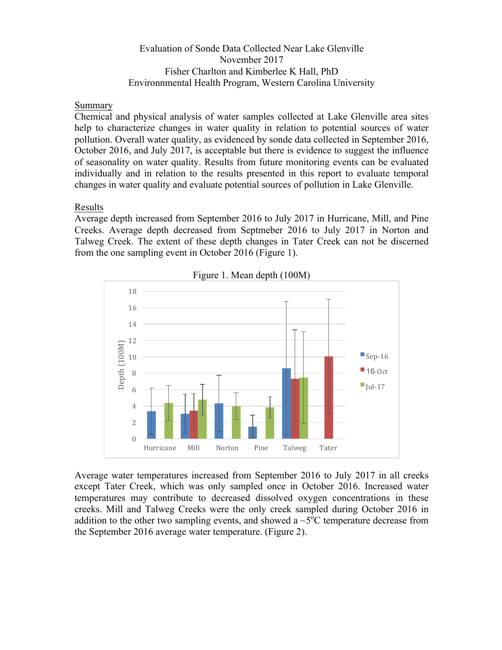## Evaluation of Sonde Data Collected Near Lake Glenville November 2017 Fisher Charlton and Kimberlee K Hall, PhD Environnmental Health Program, Western Carolina University

## Summary

Chemical and physical analysis of water samples collected at Lake Glenville area sites help to characterize changes in water quality in relation to potential sources of water pollution. Overall water quality, as evidenced by sonde data collected in September 2016, October 2016, and July 2017, is acceptable but there is evidence to suggest the influence of seasonality on water quality. Results from future monitoring events can be evaluated individually and in relation to the results presented in this report to evaluate temporal changes in water quality and evaluate potential sources of pollution in Lake Glenville.

## Results

Average depth increased from September 2016 to July 2017 in Hurricane, Mill, and Pine Creeks. Average depth decreased from Septmeber 2016 to July 2017 in Norton and Talweg Creek. The extent of these depth changes in Tater Creek can not be discerned from the one sampling event in October 2016 (Figure 1).





Average water temperatures increased from September 2016 to July 2017 in all creeks except Tater Creek, which was only sampled once in October 2016. Increased water temperatures may contribute to decreased dissolved oxygen concentrations in these creeks. Mill and Talweg Creeks were the only creek sampled during October 2016 in addition to the other two sampling events, and showed a  $\sim$ 5<sup>o</sup>C temperature decrease from the September 2016 average water temperature. (Figure 2).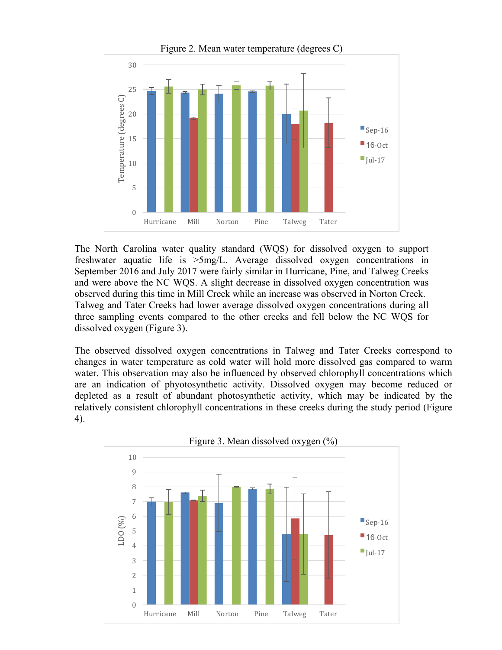

The North Carolina water quality standard (WQS) for dissolved oxygen to support freshwater aquatic life is >5mg/L. Average dissolved oxygen concentrations in September 2016 and July 2017 were fairly similar in Hurricane, Pine, and Talweg Creeks and were above the NC WQS. A slight decrease in dissolved oxygen concentration was observed during this time in Mill Creek while an increase was observed in Norton Creek. Talweg and Tater Creeks had lower average dissolved oxygen concentrations during all three sampling events compared to the other creeks and fell below the NC WQS for dissolved oxygen (Figure 3).

The observed dissolved oxygen concentrations in Talweg and Tater Creeks correspond to changes in water temperature as cold water will hold more dissolved gas compared to warm water. This observation may also be influenced by observed chlorophyll concentrations which are an indication of phyotosynthetic activity. Dissolved oxygen may become reduced or depleted as a result of abundant photosynthetic activity, which may be indicated by the relatively consistent chlorophyll concentrations in these creeks during the study period (Figure 4).

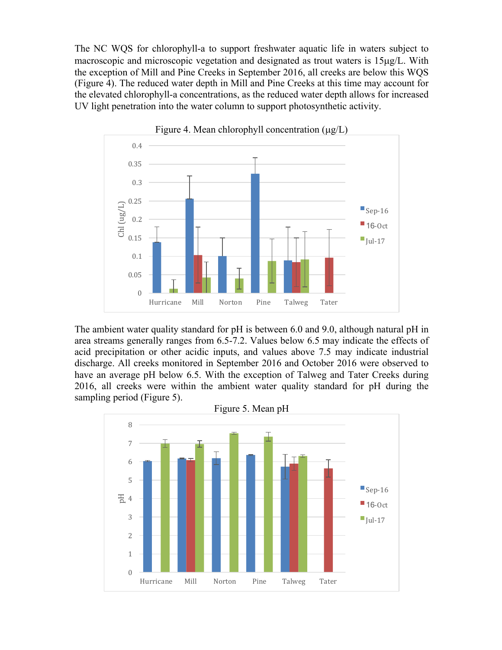The NC WQS for chlorophyll-a to support freshwater aquatic life in waters subject to macroscopic and microscopic vegetation and designated as trout waters is 15µg/L. With the exception of Mill and Pine Creeks in September 2016, all creeks are below this WQS (Figure 4). The reduced water depth in Mill and Pine Creeks at this time may account for the elevated chlorophyll-a concentrations, as the reduced water depth allows for increased UV light penetration into the water column to support photosynthetic activity.



The ambient water quality standard for pH is between 6.0 and 9.0, although natural pH in area streams generally ranges from 6.5-7.2. Values below 6.5 may indicate the effects of acid precipitation or other acidic inputs, and values above 7.5 may indicate industrial discharge. All creeks monitored in September 2016 and October 2016 were observed to have an average pH below 6.5. With the exception of Talweg and Tater Creeks during 2016, all creeks were within the ambient water quality standard for pH during the sampling period (Figure 5).